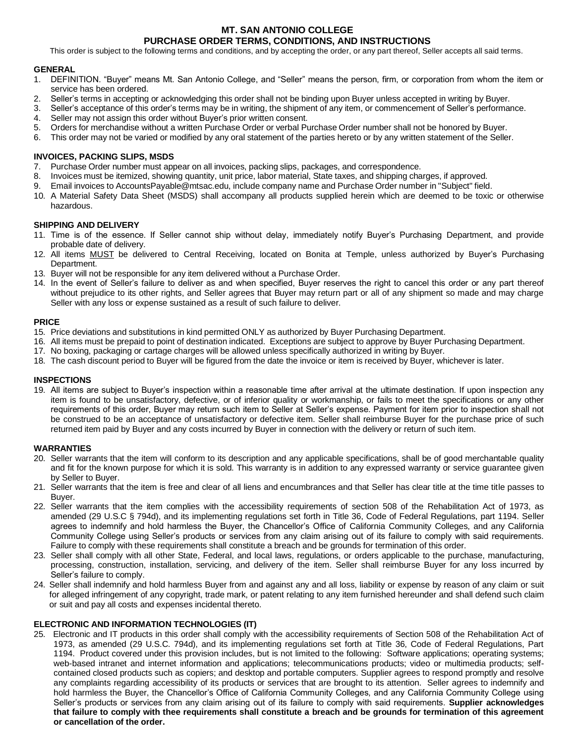## **MT. SAN ANTONIO COLLEGE PURCHASE ORDER TERMS, CONDITIONS, AND INSTRUCTIONS**

This order is subject to the following terms and conditions, and by accepting the order, or any part thereof, Seller accepts all said terms.

## **GENERAL**

- 1. DEFINITION. "Buyer" means Mt. San Antonio College, and "Seller" means the person, firm, or corporation from whom the item or service has been ordered.
- 2. Seller's terms in accepting or acknowledging this order shall not be binding upon Buyer unless accepted in writing by Buyer.
- 3. Seller's acceptance of this order's terms may be in writing, the shipment of any item, or commencement of Seller's performance.
- 4. Seller may not assign this order without Buyer's prior written consent.
- 5. Orders for merchandise without a written Purchase Order or verbal Purchase Order number shall not be honored by Buyer.
- 6. This order may not be varied or modified by any oral statement of the parties hereto or by any written statement of the Seller.

## **INVOICES, PACKING SLIPS, MSDS**

- 7. Purchase Order number must appear on all invoices, packing slips, packages, and correspondence.
- 8. Invoices must be itemized, showing quantity, unit price, labor material, State taxes, and shipping charges, if approved.
- 9. Email invoices t[o AccountsPayable@mtsac.edu, i](mailto:AccountsPayable@mtsac.edu)nclude company name and Purchase Order number in "Subject" field.
- 10. A Material Safety Data Sheet (MSDS) shall accompany all products supplied herein which are deemed to be toxic or otherwise hazardous.

## **SHIPPING AND DELIVERY**

- 11. Time is of the essence. If Seller cannot ship without delay, immediately notify Buyer's Purchasing Department, and provide probable date of delivery.
- 12. All items **MUST** be delivered to Central Receiving, located on Bonita at Temple, unless authorized by Buyer's Purchasing Department.
- 13. Buyer will not be responsible for any item delivered without a Purchase Order.
- 14. In the event of Seller's failure to deliver as and when specified, Buyer reserves the right to cancel this order or any part thereof without prejudice to its other rights, and Seller agrees that Buyer may return part or all of any shipment so made and may charge Seller with any loss or expense sustained as a result of such failure to deliver.

## **PRICE**

- 15. Price deviations and substitutions in kind permitted ONLY as authorized by Buyer Purchasing Department.
- 16. All items must be prepaid to point of destination indicated. Exceptions are subject to approve by Buyer Purchasing Department.
- 17. No boxing, packaging or cartage charges will be allowed unless specifically authorized in writing by Buyer.
- 18. The cash discount period to Buyer will be figured from the date the invoice or item is received by Buyer, whichever is later.

# **INSPECTIONS**

 19. All items are subject to Buyer's inspection within a reasonable time after arrival at the ultimate destination. If upon inspection any item is found to be unsatisfactory, defective, or of inferior quality or workmanship, or fails to meet the specifications or any other requirements of this order, Buyer may return such item to Seller at Seller's expense. Payment for item prior to inspection shall not be construed to be an acceptance of unsatisfactory or defective item. Seller shall reimburse Buyer for the purchase price of such returned item paid by Buyer and any costs incurred by Buyer in connection with the delivery or return of such item.

#### **WARRANTIES**

- 20. Seller warrants that the item will conform to its description and any applicable specifications, shall be of good merchantable quality and fit for the known purpose for which it is sold. This warranty is in addition to any expressed warranty or service guarantee given by Seller to Buyer.
- 21. Seller warrants that the item is free and clear of all liens and encumbrances and that Seller has clear title at the time title passes to Buyer.
- 22. Seller warrants that the item complies with the accessibility requirements of section 508 of the Rehabilitation Act of 1973, as amended (29 U.S.C § 794d), and its implementing regulations set forth in Title 36, Code of Federal Regulations, part 1194. Seller agrees to indemnify and hold harmless the Buyer, the Chancellor's Office of California Community Colleges, and any California Community College using Seller's products or services from any claim arising out of its failure to comply with said requirements. Failure to comply with these requirements shall constitute a breach and be grounds for termination of this order.
- processing, construction, installation, servicing, and delivery of the item. Seller shall reimburse Buyer for any loss incurred by 23. Seller shall comply with all other State, Federal, and local laws, regulations, or orders applicable to the purchase, manufacturing, Seller's failure to comply.
- for alleged infringement of any copyright, trade mark, or patent relating to any item furnished hereunder and shall defend such claim or suit and pay all costs and expenses incidental thereto. 24. Seller shall indemnify and hold harmless Buyer from and against any and all loss, liability or expense by reason of any claim or suit

# **ELECTRONIC AND INFORMATION TECHNOLOGIES (IT)**

 25. Electronic and IT products in this order shall comply with the accessibility requirements of Section 508 of the Rehabilitation Act of 1973, as amended (29 U.S.C. 794d), and its implementing regulations set forth at Title 36, Code of Federal Regulations, Part 1194. Product covered under this provision includes, but is not limited to the following: Software applications; operating systems; web-based intranet and internet information and applications; telecommunications products; video or multimedia products; self- contained closed products such as copiers; and desktop and portable computers. Supplier agrees to respond promptly and resolve any complaints regarding accessibility of its products or services that are brought to its attention. Seller agrees to indemnify and hold harmless the Buyer, the Chancellor's Office of California Community Colleges, and any California Community College using Seller's products or services from any claim arising out of its failure to comply with said requirements. **Supplier acknowledges that failure to comply with thee requirements shall constitute a breach and be grounds for termination of this agreement or cancellation of the order.**